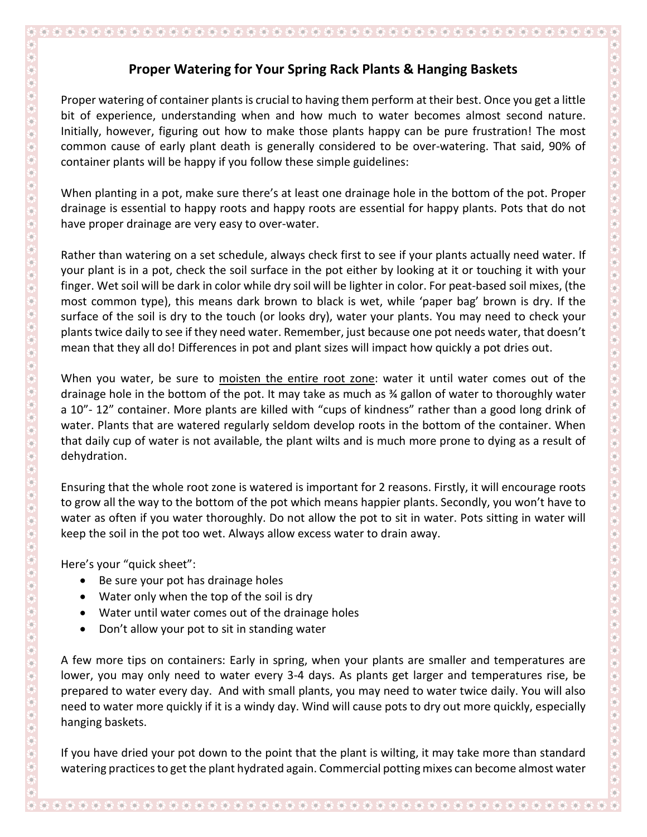## **Proper Watering for Your Spring Rack Plants & Hanging Baskets**

Proper watering of container plants is crucial to having them perform at their best. Once you get a little bit of experience, understanding when and how much to water becomes almost second nature. Initially, however, figuring out how to make those plants happy can be pure frustration! The most common cause of early plant death is generally considered to be over-watering. That said, 90% of container plants will be happy if you follow these simple guidelines:

When planting in a pot, make sure there's at least one drainage hole in the bottom of the pot. Proper drainage is essential to happy roots and happy roots are essential for happy plants. Pots that do not have proper drainage are very easy to over-water.

Rather than watering on a set schedule, always check first to see if your plants actually need water. If your plant is in a pot, check the soil surface in the pot either by looking at it or touching it with your finger. Wet soil will be dark in color while dry soil will be lighter in color. For peat-based soil mixes, (the most common type), this means dark brown to black is wet, while 'paper bag' brown is dry. If the surface of the soil is dry to the touch (or looks dry), water your plants. You may need to check your plants twice daily to see if they need water. Remember, just because one pot needs water, that doesn't mean that they all do! Differences in pot and plant sizes will impact how quickly a pot dries out.

When you water, be sure to moisten the entire root zone: water it until water comes out of the drainage hole in the bottom of the pot. It may take as much as ¾ gallon of water to thoroughly water a 10"- 12" container. More plants are killed with "cups of kindness" rather than a good long drink of water. Plants that are watered regularly seldom develop roots in the bottom of the container. When that daily cup of water is not available, the plant wilts and is much more prone to dying as a result of dehydration.

Ensuring that the whole root zone is watered is important for 2 reasons. Firstly, it will encourage roots to grow all the way to the bottom of the pot which means happier plants. Secondly, you won't have to water as often if you water thoroughly. Do not allow the pot to sit in water. Pots sitting in water will keep the soil in the pot too wet. Always allow excess water to drain away.

Here's your "quick sheet":

- Be sure your pot has drainage holes
- Water only when the top of the soil is dry
- Water until water comes out of the drainage holes
- Don't allow your pot to sit in standing water

A few more tips on containers: Early in spring, when your plants are smaller and temperatures are lower, you may only need to water every 3-4 days. As plants get larger and temperatures rise, be prepared to water every day. And with small plants, you may need to water twice daily. You will also need to water more quickly if it is a windy day. Wind will cause pots to dry out more quickly, especially hanging baskets.

If you have dried your pot down to the point that the plant is wilting, it may take more than standard watering practices to get the plant hydrated again. Commercial potting mixes can become almost water